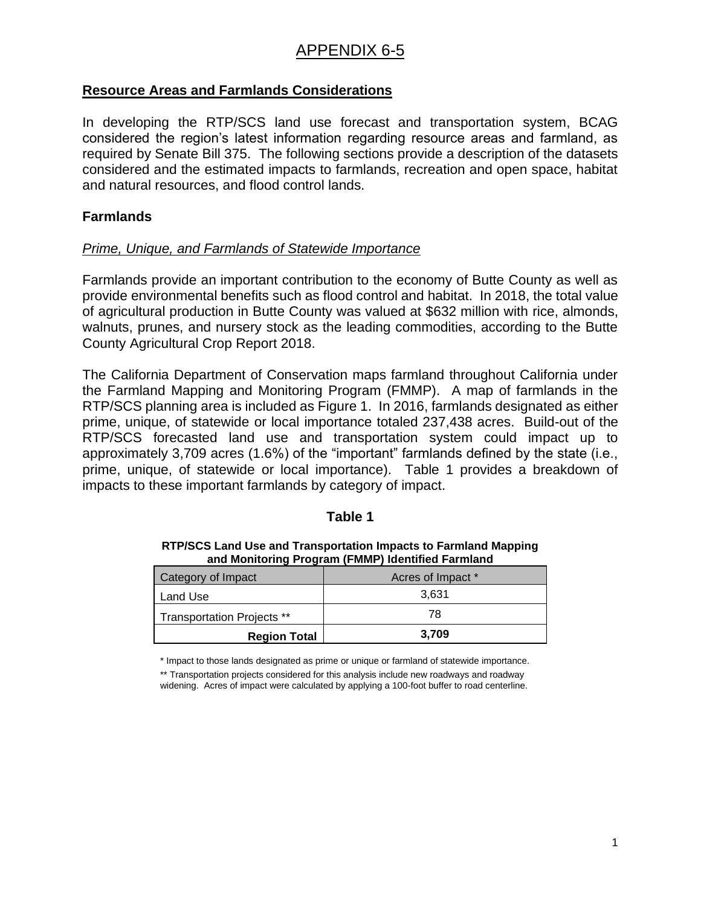## **Resource Areas and Farmlands Considerations**

In developing the RTP/SCS land use forecast and transportation system, BCAG considered the region's latest information regarding resource areas and farmland, as required by Senate Bill 375. The following sections provide a description of the datasets considered and the estimated impacts to farmlands, recreation and open space, habitat and natural resources, and flood control lands.

# **Farmlands**

## *Prime, Unique, and Farmlands of Statewide Importance*

Farmlands provide an important contribution to the economy of Butte County as well as provide environmental benefits such as flood control and habitat. In 2018, the total value of agricultural production in Butte County was valued at \$632 million with rice, almonds, walnuts, prunes, and nursery stock as the leading commodities, according to the Butte County Agricultural Crop Report 2018.

The California Department of Conservation maps farmland throughout California under the Farmland Mapping and Monitoring Program (FMMP). A map of farmlands in the RTP/SCS planning area is included as Figure 1. In 2016, farmlands designated as either prime, unique, of statewide or local importance totaled 237,438 acres. Build-out of the RTP/SCS forecasted land use and transportation system could impact up to approximately 3,709 acres (1.6%) of the "important" farmlands defined by the state (i.e., prime, unique, of statewide or local importance). Table 1 provides a breakdown of impacts to these important farmlands by category of impact.

## **Table 1**

| and Montonny Flogram (Fighter Juditured Farmand |                   |  |
|-------------------------------------------------|-------------------|--|
| Category of Impact                              | Acres of Impact * |  |
| Land Use                                        | 3.631             |  |
| Transportation Projects **                      | 78                |  |
| <b>Region Total</b>                             | 3,709             |  |

**RTP/SCS Land Use and Transportation Impacts to Farmland Mapping and Monitoring Program (FMMP) Identified Farmland**

\* Impact to those lands designated as prime or unique or farmland of statewide importance.

\*\* Transportation projects considered for this analysis include new roadways and roadway widening. Acres of impact were calculated by applying a 100-foot buffer to road centerline.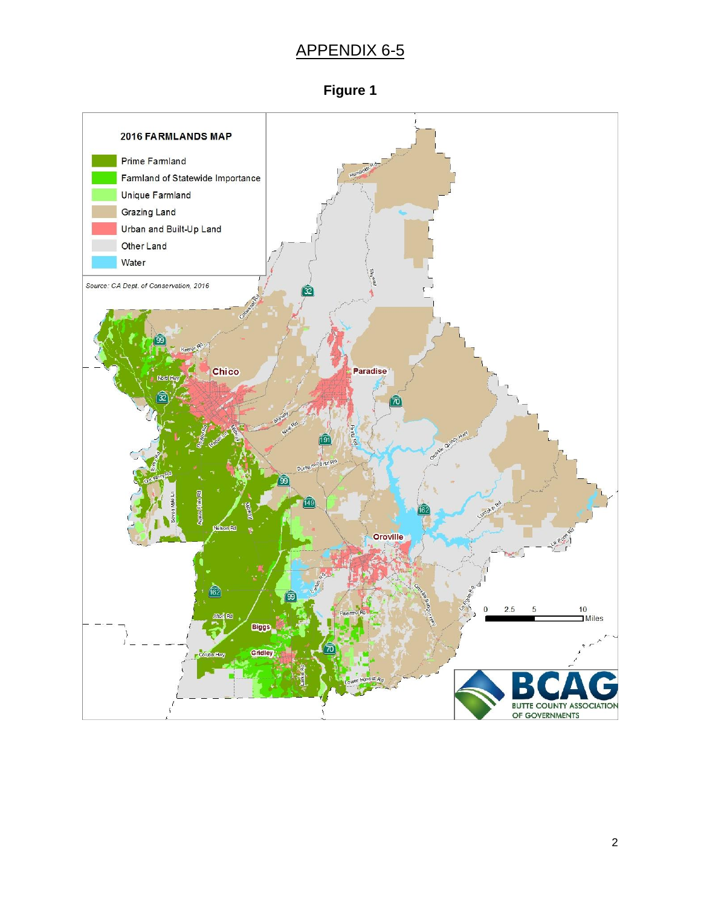

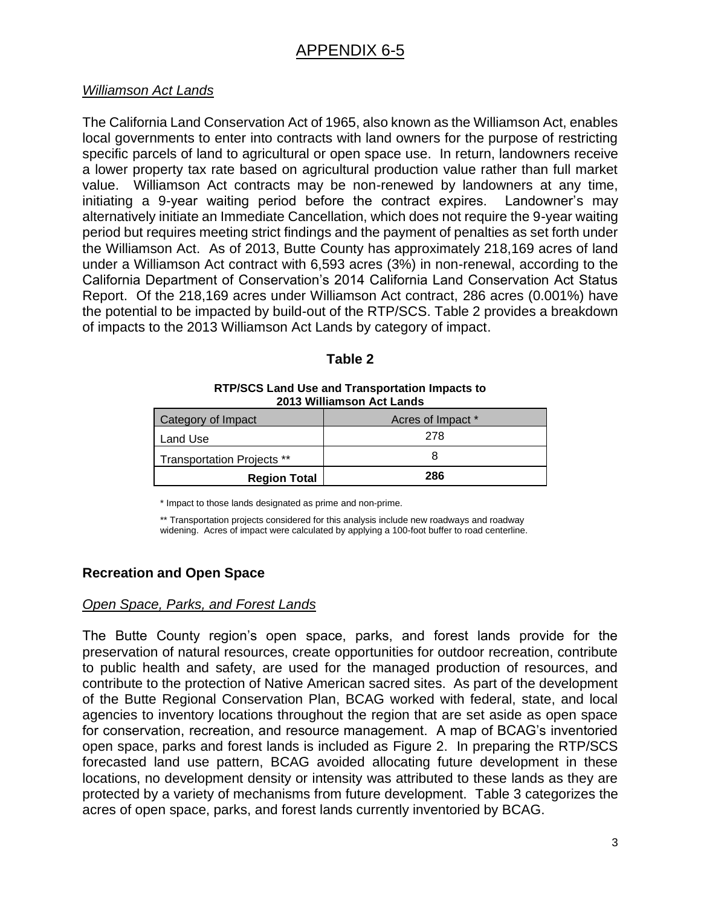## *Williamson Act Lands*

The California Land Conservation Act of 1965, also known as the Williamson Act, enables local governments to enter into contracts with land owners for the purpose of restricting specific parcels of land to agricultural or open space use. In return, landowners receive a lower property tax rate based on agricultural production value rather than full market value. Williamson Act contracts may be non-renewed by landowners at any time, initiating a 9-year waiting period before the contract expires. Landowner's may alternatively initiate an Immediate Cancellation, which does not require the 9-year waiting period but requires meeting strict findings and the payment of penalties as set forth under the Williamson Act. As of 2013, Butte County has approximately 218,169 acres of land under a Williamson Act contract with 6,593 acres (3%) in non-renewal, according to the California Department of Conservation's 2014 California Land Conservation Act Status Report. Of the 218,169 acres under Williamson Act contract, 286 acres (0.001%) have the potential to be impacted by build-out of the RTP/SCS. Table 2 provides a breakdown of impacts to the 2013 Williamson Act Lands by category of impact.

### **Table 2**

#### **RTP/SCS Land Use and Transportation Impacts to 2013 Williamson Act Lands**

| Category of Impact                | Acres of Impact * |
|-----------------------------------|-------------------|
| Land Use                          | 278               |
| <b>Transportation Projects **</b> |                   |
| <b>Region Total</b>               | 286               |

\* Impact to those lands designated as prime and non-prime.

\*\* Transportation projects considered for this analysis include new roadways and roadway widening. Acres of impact were calculated by applying a 100-foot buffer to road centerline.

## **Recreation and Open Space**

## *Open Space, Parks, and Forest Lands*

The Butte County region's open space, parks, and forest lands provide for the preservation of natural resources, create opportunities for outdoor recreation, contribute to public health and safety, are used for the managed production of resources, and contribute to the protection of Native American sacred sites. As part of the development of the Butte Regional Conservation Plan, BCAG worked with federal, state, and local agencies to inventory locations throughout the region that are set aside as open space for conservation, recreation, and resource management. A map of BCAG's inventoried open space, parks and forest lands is included as Figure 2. In preparing the RTP/SCS forecasted land use pattern, BCAG avoided allocating future development in these locations, no development density or intensity was attributed to these lands as they are protected by a variety of mechanisms from future development. Table 3 categorizes the acres of open space, parks, and forest lands currently inventoried by BCAG.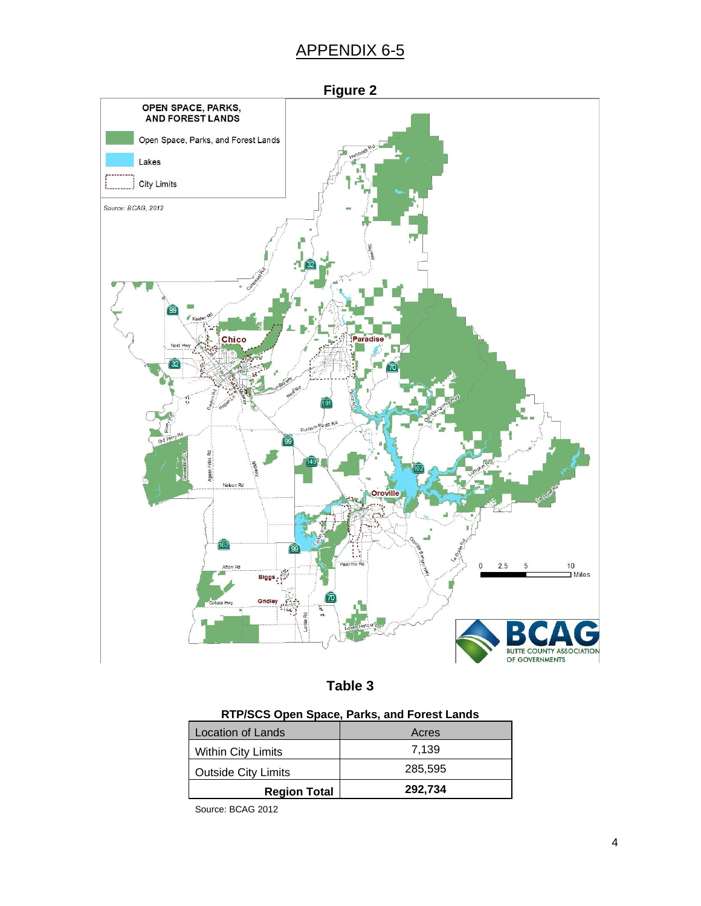



| RTP/SCS Open Space, Parks, and Forest Lands |  |  |
|---------------------------------------------|--|--|
|                                             |  |  |

| <b>Within City Limits</b>  | 7.139   |
|----------------------------|---------|
| <b>Outside City Limits</b> | 285.595 |
| <b>Region Total</b>        | 292,734 |

Source: BCAG 2012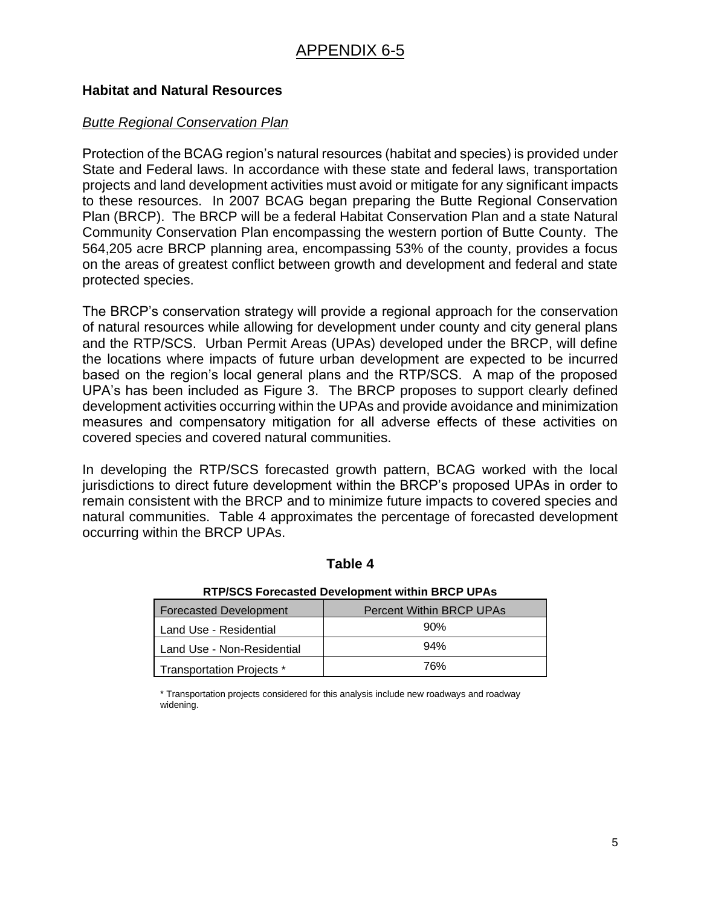## **Habitat and Natural Resources**

# *Butte Regional Conservation Plan*

Protection of the BCAG region's natural resources (habitat and species) is provided under State and Federal laws. In accordance with these state and federal laws, transportation projects and land development activities must avoid or mitigate for any significant impacts to these resources. In 2007 BCAG began preparing the Butte Regional Conservation Plan (BRCP). The BRCP will be a federal Habitat Conservation Plan and a state Natural Community Conservation Plan encompassing the western portion of Butte County. The 564,205 acre BRCP planning area, encompassing 53% of the county, provides a focus on the areas of greatest conflict between growth and development and federal and state protected species.

The BRCP's conservation strategy will provide a regional approach for the conservation of natural resources while allowing for development under county and city general plans and the RTP/SCS. Urban Permit Areas (UPAs) developed under the BRCP, will define the locations where impacts of future urban development are expected to be incurred based on the region's local general plans and the RTP/SCS. A map of the proposed UPA's has been included as Figure 3. The BRCP proposes to support clearly defined development activities occurring within the UPAs and provide avoidance and minimization measures and compensatory mitigation for all adverse effects of these activities on covered species and covered natural communities.

In developing the RTP/SCS forecasted growth pattern, BCAG worked with the local jurisdictions to direct future development within the BRCP's proposed UPAs in order to remain consistent with the BRCP and to minimize future impacts to covered species and natural communities. Table 4 approximates the percentage of forecasted development occurring within the BRCP UPAs.

## **Table 4**

| <b>Forecasted Development</b> | <b>Percent Within BRCP UPAs</b> |  |
|-------------------------------|---------------------------------|--|
| Land Use - Residential        | 90%                             |  |
| Land Use - Non-Residential    | 94%                             |  |
| Transportation Projects *     | 76%                             |  |

#### **RTP/SCS Forecasted Development within BRCP UPAs**

\* Transportation projects considered for this analysis include new roadways and roadway widening.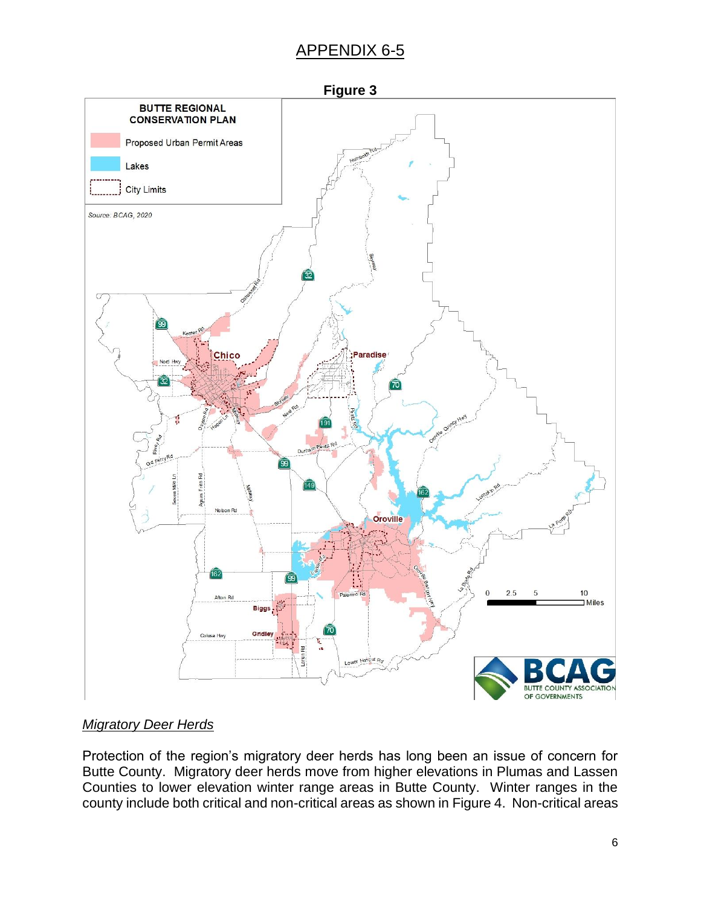

# *Migratory Deer Herds*

Protection of the region's migratory deer herds has long been an issue of concern for Butte County. Migratory deer herds move from higher elevations in Plumas and Lassen Counties to lower elevation winter range areas in Butte County. Winter ranges in the county include both critical and non-critical areas as shown in Figure 4. Non-critical areas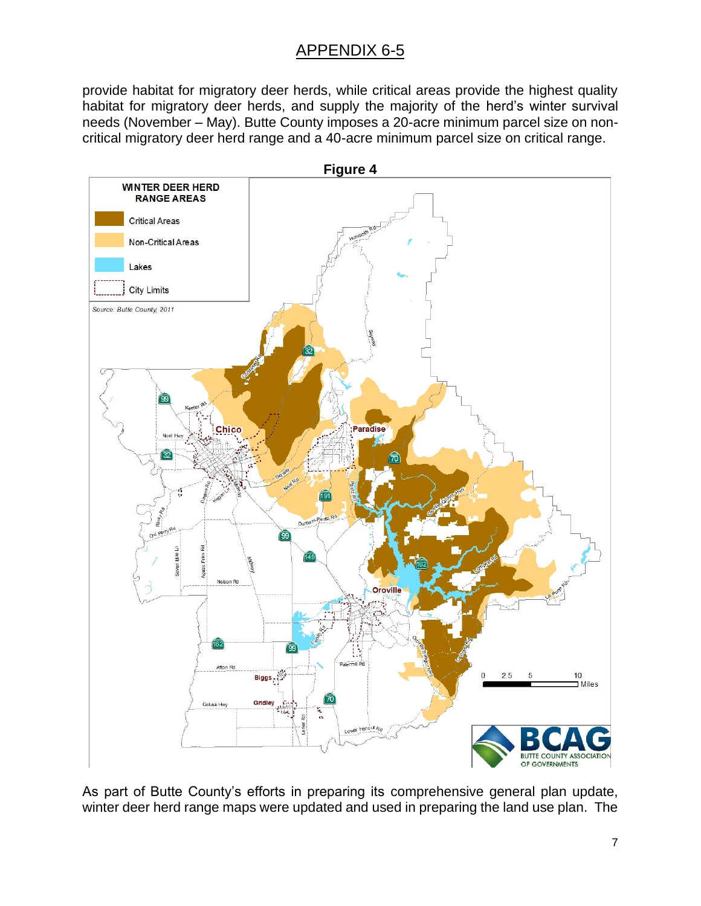provide habitat for migratory deer herds, while critical areas provide the highest quality habitat for migratory deer herds, and supply the majority of the herd's winter survival needs (November – May). Butte County imposes a 20-acre minimum parcel size on noncritical migratory deer herd range and a 40-acre minimum parcel size on critical range.



As part of Butte County's efforts in preparing its comprehensive general plan update, winter deer herd range maps were updated and used in preparing the land use plan. The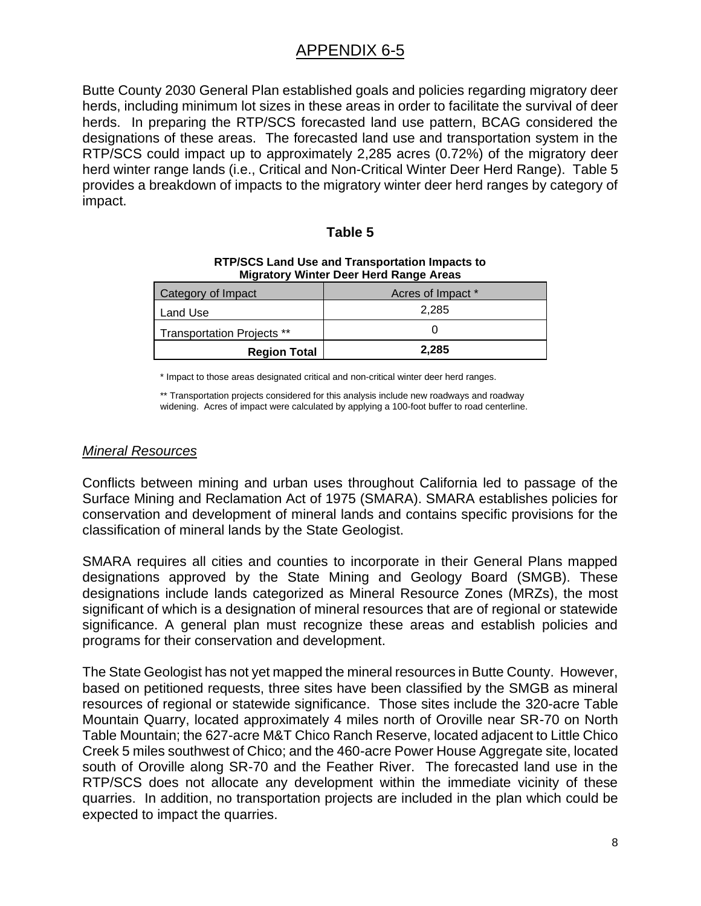Butte County 2030 General Plan established goals and policies regarding migratory deer herds, including minimum lot sizes in these areas in order to facilitate the survival of deer herds. In preparing the RTP/SCS forecasted land use pattern, BCAG considered the designations of these areas. The forecasted land use and transportation system in the RTP/SCS could impact up to approximately 2,285 acres (0.72%) of the migratory deer herd winter range lands (i.e., Critical and Non-Critical Winter Deer Herd Range). Table 5 provides a breakdown of impacts to the migratory winter deer herd ranges by category of impact.

### **Table 5**

| <b>Migratory Willier Deer Hera Kange Areas</b> |                   |  |
|------------------------------------------------|-------------------|--|
| Category of Impact                             | Acres of Impact * |  |
| Land Use                                       | 2.285             |  |
| Transportation Projects **                     |                   |  |
| <b>Region Total</b>                            | 2,285             |  |

#### **RTP/SCS Land Use and Transportation Impacts to Migratory Winter Deer Herd Range Areas**

\* Impact to those areas designated critical and non-critical winter deer herd ranges.

\*\* Transportation projects considered for this analysis include new roadways and roadway widening. Acres of impact were calculated by applying a 100-foot buffer to road centerline.

### *Mineral Resources*

Conflicts between mining and urban uses throughout California led to passage of the Surface Mining and Reclamation Act of 1975 (SMARA). SMARA establishes policies for conservation and development of mineral lands and contains specific provisions for the classification of mineral lands by the State Geologist.

SMARA requires all cities and counties to incorporate in their General Plans mapped designations approved by the State Mining and Geology Board (SMGB). These designations include lands categorized as Mineral Resource Zones (MRZs), the most significant of which is a designation of mineral resources that are of regional or statewide significance. A general plan must recognize these areas and establish policies and programs for their conservation and development.

The State Geologist has not yet mapped the mineral resources in Butte County. However, based on petitioned requests, three sites have been classified by the SMGB as mineral resources of regional or statewide significance. Those sites include the 320-acre Table Mountain Quarry, located approximately 4 miles north of Oroville near SR-70 on North Table Mountain; the 627-acre M&T Chico Ranch Reserve, located adjacent to Little Chico Creek 5 miles southwest of Chico; and the 460-acre Power House Aggregate site, located south of Oroville along SR-70 and the Feather River. The forecasted land use in the RTP/SCS does not allocate any development within the immediate vicinity of these quarries. In addition, no transportation projects are included in the plan which could be expected to impact the quarries.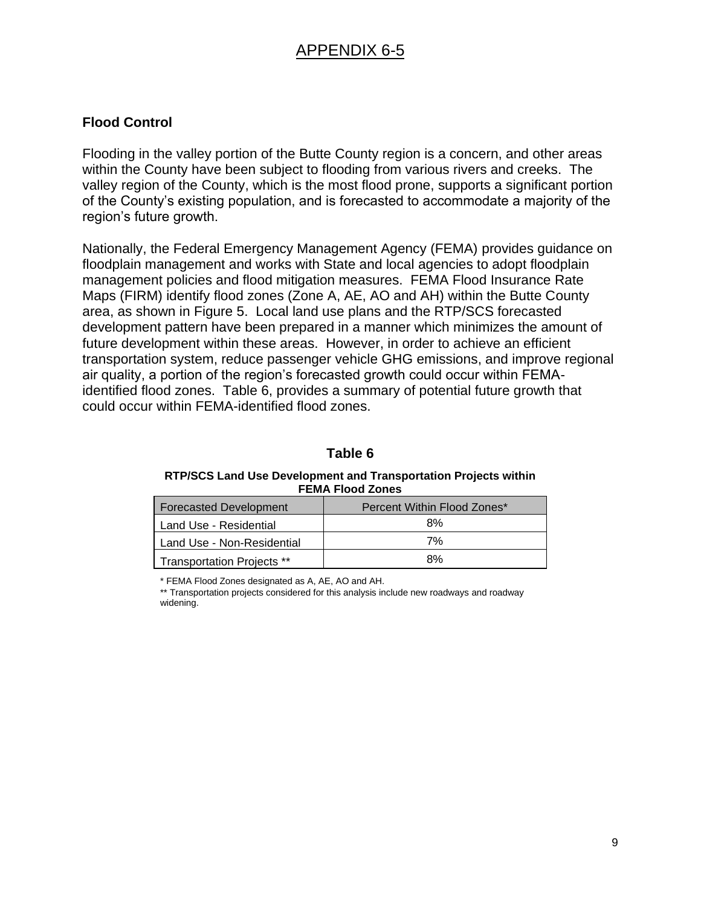## **Flood Control**

Flooding in the valley portion of the Butte County region is a concern, and other areas within the County have been subject to flooding from various rivers and creeks. The valley region of the County, which is the most flood prone, supports a significant portion of the County's existing population, and is forecasted to accommodate a majority of the region's future growth.

Nationally, the Federal Emergency Management Agency (FEMA) provides guidance on floodplain management and works with State and local agencies to adopt floodplain management policies and flood mitigation measures. FEMA Flood Insurance Rate Maps (FIRM) identify flood zones (Zone A, AE, AO and AH) within the Butte County area, as shown in Figure 5. Local land use plans and the RTP/SCS forecasted development pattern have been prepared in a manner which minimizes the amount of future development within these areas. However, in order to achieve an efficient transportation system, reduce passenger vehicle GHG emissions, and improve regional air quality, a portion of the region's forecasted growth could occur within FEMAidentified flood zones. Table 6, provides a summary of potential future growth that could occur within FEMA-identified flood zones.

## **Table 6**

**RTP/SCS Land Use Development and Transportation Projects within FEMA Flood Zones**

| <b>Forecasted Development</b>     | Percent Within Flood Zones* |
|-----------------------------------|-----------------------------|
| Land Use - Residential            | 8%                          |
| Land Use - Non-Residential        | 7%                          |
| <b>Transportation Projects **</b> | 8%                          |

\* FEMA Flood Zones designated as A, AE, AO and AH.

\*\* Transportation projects considered for this analysis include new roadways and roadway widening.